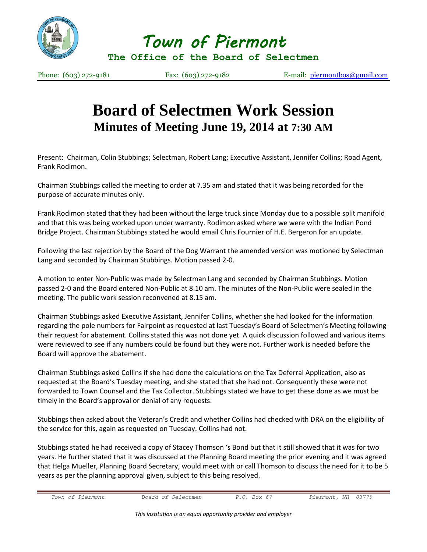

*Town of Piermont* 

**The Office of the Board of Selectmen**

Phone: (603) 272-9181 Fax: (603) 272-9182 E-mail: [piermontbos@gmail.com](mailto:piermontbos@gmail.com)

## **Board of Selectmen Work Session Minutes of Meeting June 19, 2014 at 7:30 AM**

Present: Chairman, Colin Stubbings; Selectman, Robert Lang; Executive Assistant, Jennifer Collins; Road Agent, Frank Rodimon.

Chairman Stubbings called the meeting to order at 7.35 am and stated that it was being recorded for the purpose of accurate minutes only.

Frank Rodimon stated that they had been without the large truck since Monday due to a possible split manifold and that this was being worked upon under warranty. Rodimon asked where we were with the Indian Pond Bridge Project. Chairman Stubbings stated he would email Chris Fournier of H.E. Bergeron for an update.

Following the last rejection by the Board of the Dog Warrant the amended version was motioned by Selectman Lang and seconded by Chairman Stubbings. Motion passed 2-0.

A motion to enter Non-Public was made by Selectman Lang and seconded by Chairman Stubbings. Motion passed 2-0 and the Board entered Non-Public at 8.10 am. The minutes of the Non-Public were sealed in the meeting. The public work session reconvened at 8.15 am.

Chairman Stubbings asked Executive Assistant, Jennifer Collins, whether she had looked for the information regarding the pole numbers for Fairpoint as requested at last Tuesday's Board of Selectmen's Meeting following their request for abatement. Collins stated this was not done yet. A quick discussion followed and various items were reviewed to see if any numbers could be found but they were not. Further work is needed before the Board will approve the abatement.

Chairman Stubbings asked Collins if she had done the calculations on the Tax Deferral Application, also as requested at the Board's Tuesday meeting, and she stated that she had not. Consequently these were not forwarded to Town Counsel and the Tax Collector. Stubbings stated we have to get these done as we must be timely in the Board's approval or denial of any requests.

Stubbings then asked about the Veteran's Credit and whether Collins had checked with DRA on the eligibility of the service for this, again as requested on Tuesday. Collins had not.

Stubbings stated he had received a copy of Stacey Thomson 's Bond but that it still showed that it was for two years. He further stated that it was discussed at the Planning Board meeting the prior evening and it was agreed that Helga Mueller, Planning Board Secretary, would meet with or call Thomson to discuss the need for it to be 5 years as per the planning approval given, subject to this being resolved.